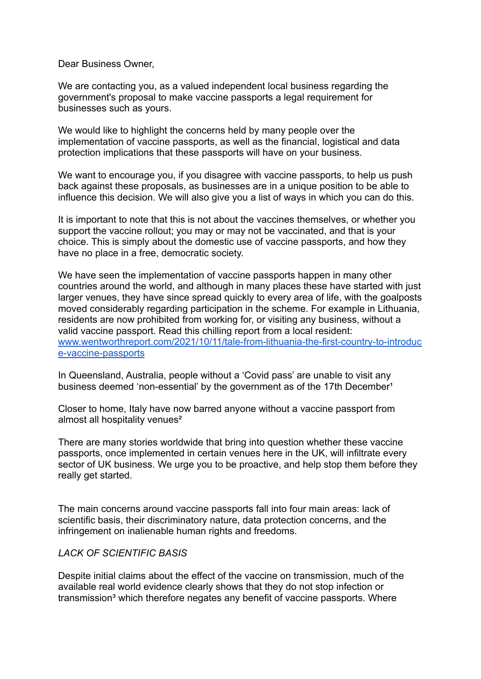Dear Business Owner,

We are contacting you, as a valued independent local business regarding the government's proposal to make vaccine passports a legal requirement for businesses such as yours.

We would like to highlight the concerns held by many people over the implementation of vaccine passports, as well as the financial, logistical and data protection implications that these passports will have on your business.

We want to encourage you, if you disagree with vaccine passports, to help us push back against these proposals, as businesses are in a unique position to be able to influence this decision. We will also give you a list of ways in which you can do this.

It is important to note that this is not about the vaccines themselves, or whether you support the vaccine rollout; you may or may not be vaccinated, and that is your choice. This is simply about the domestic use of vaccine passports, and how they have no place in a free, democratic society.

We have seen the implementation of vaccine passports happen in many other countries around the world, and although in many places these have started with just larger venues, they have since spread quickly to every area of life, with the goalposts moved considerably regarding participation in the scheme. For example in Lithuania, residents are now prohibited from working for, or visiting any business, without a valid vaccine passport. Read this chilling report from a local resident: [www.wentworthreport.com/2021/10/11/tale-from-lithuania-the-first-country-to-introduc](http://www.wentworthreport.com/2021/10/11/tale-from-lithuania-the-first-country-to-introduce-vaccine-passports) [e-vaccine-passports](http://www.wentworthreport.com/2021/10/11/tale-from-lithuania-the-first-country-to-introduce-vaccine-passports)

In Queensland, Australia, people without a 'Covid pass' are unable to visit any business deemed 'non-essential' by the government as of the 17th December<sup>1</sup>

Closer to home, Italy have now barred anyone without a vaccine passport from almost all hospitality venues<sup>2</sup>

There are many stories worldwide that bring into question whether these vaccine passports, once implemented in certain venues here in the UK, will infiltrate every sector of UK business. We urge you to be proactive, and help stop them before they really get started.

The main concerns around vaccine passports fall into four main areas: lack of scientific basis, their discriminatory nature, data protection concerns, and the infringement on inalienable human rights and freedoms.

#### *LACK OF SCIENTIFIC BASIS*

Despite initial claims about the effect of the vaccine on transmission, much of the available real world evidence clearly shows that they do not stop infection or transmission<sup>3</sup> which therefore negates any benefit of vaccine passports. Where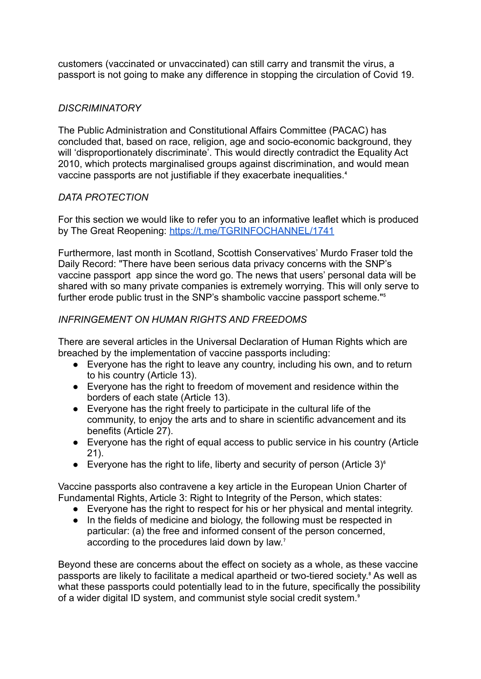customers (vaccinated or unvaccinated) can still carry and transmit the virus, a passport is not going to make any difference in stopping the circulation of Covid 19.

## *DISCRIMINATORY*

The Public Administration and Constitutional Affairs Committee (PACAC) has concluded that, based on race, religion, age and socio-economic background, they will 'disproportionately discriminate'. This would directly contradict the Equality Act 2010, which protects marginalised groups against discrimination, and would mean vaccine passports are not justifiable if they exacerbate inequalities.<sup>4</sup>

### *DATA PROTECTION*

For this section we would like to refer you to an informative leaflet which is produced by The Great Reopening: <https://t.me/TGRINFOCHANNEL/1741>

Furthermore, last month in Scotland, Scottish Conservatives' Murdo Fraser told the Daily Record: "There have been serious data privacy concerns with the SNP's vaccine passport app since the word go. The news that users' personal data will be shared with so many private companies is extremely worrying. This will only serve to further erode public trust in the SNP's shambolic vaccine passport scheme."<sup>5</sup>

# *INFRINGEMENT ON HUMAN RIGHTS AND FREEDOMS*

There are several articles in the Universal Declaration of Human Rights which are breached by the implementation of vaccine passports including:

- Everyone has the right to leave any country, including his own, and to return to his country (Article 13).
- Everyone has the right to freedom of movement and residence within the borders of each state (Article 13).
- Everyone has the right freely to participate in the cultural life of the community, to enjoy the arts and to share in scientific advancement and its benefits (Article 27).
- Everyone has the right of equal access to public service in his country (Article 21).
- Everyone has the right to life, liberty and security of person (Article 3) $^{\circ}$

Vaccine passports also contravene a key article in the European Union Charter of Fundamental Rights, Article 3: Right to Integrity of the Person, which states:

- Everyone has the right to respect for his or her physical and mental integrity.
- In the fields of medicine and biology, the following must be respected in particular: (a) the free and informed consent of the person concerned, according to the procedures laid down by law.<sup>7</sup>

Beyond these are concerns about the effect on society as a whole, as these vaccine passports are likely to facilitate a medical apartheid or two-tiered society.<sup>8</sup> As well as what these passports could potentially lead to in the future, specifically the possibility of a wider digital ID system, and communist style social credit system.<sup>8</sup>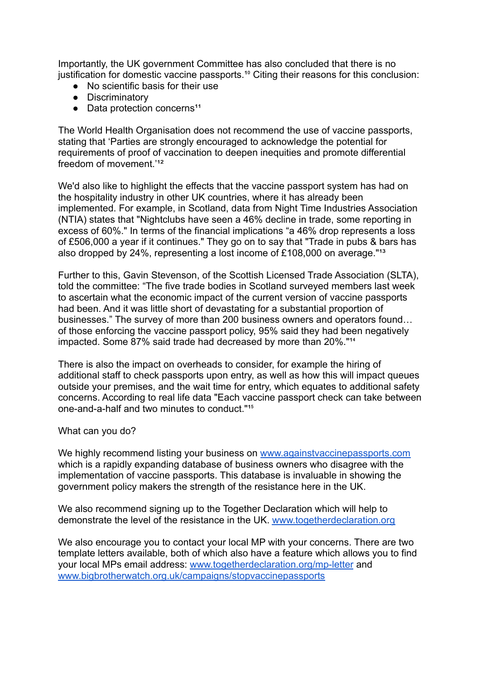Importantly, the UK government Committee has also concluded that there is no justification for domestic vaccine passports.<sup>10</sup> Citing their reasons for this conclusion:

- No scientific basis for their use
- Discriminatory
- $\bullet$  Data protection concerns<sup>11</sup>

The World Health Organisation does not recommend the use of vaccine passports, stating that 'Parties are strongly encouraged to acknowledge the potential for requirements of proof of vaccination to deepen inequities and promote differential freedom of movement.<sup>'12</sup>

We'd also like to highlight the effects that the vaccine passport system has had on the hospitality industry in other UK countries, where it has already been implemented. For example, in Scotland, data from Night Time Industries Association (NTIA) states that "Nightclubs have seen a 46% decline in trade, some reporting in excess of 60%." In terms of the financial implications "a 46% drop represents a loss of £506,000 a year if it continues." They go on to say that "Trade in pubs & bars has also dropped by 24%, representing a lost income of £108,000 on average." $13$ 

Further to this, Gavin Stevenson, of the Scottish Licensed Trade Association (SLTA), told the committee: "The five trade bodies in Scotland surveyed members last week to ascertain what the economic impact of the current version of vaccine passports had been. And it was little short of devastating for a substantial proportion of businesses." The survey of more than 200 business owners and operators found… of those enforcing the vaccine passport policy, 95% said they had been negatively impacted. Some 87% said trade had decreased by more than 20%."<sup>14</sup>

There is also the impact on overheads to consider, for example the hiring of additional staff to check passports upon entry, as well as how this will impact queues outside your premises, and the wait time for entry, which equates to additional safety concerns. According to real life data "Each vaccine passport check can take between one-and-a-half and two minutes to conduct."<sup>15</sup>

What can you do?

We highly recommend listing your business on [www.againstvaccinepassports.com](http://www.againstvaccinepassports.com) which is a rapidly expanding database of business owners who disagree with the implementation of vaccine passports. This database is invaluable in showing the government policy makers the strength of the resistance here in the UK.

We also recommend signing up to the Together Declaration which will help to demonstrate the level of the resistance in the UK. [www.togetherdeclaration.org](http://www.togetherdeclaration.org)

We also encourage you to contact your local MP with your concerns. There are two template letters available, both of which also have a feature which allows you to find your local MPs email address: [www.togetherdeclaration.org/mp-letter](http://www.togetherdeclaration.org/mp-letter) and [www.bigbrotherwatch.org.uk/campaigns/stopvaccinepassports](http://www.bigbrotherwatch.org.uk/campaigns/stopvaccinepassports)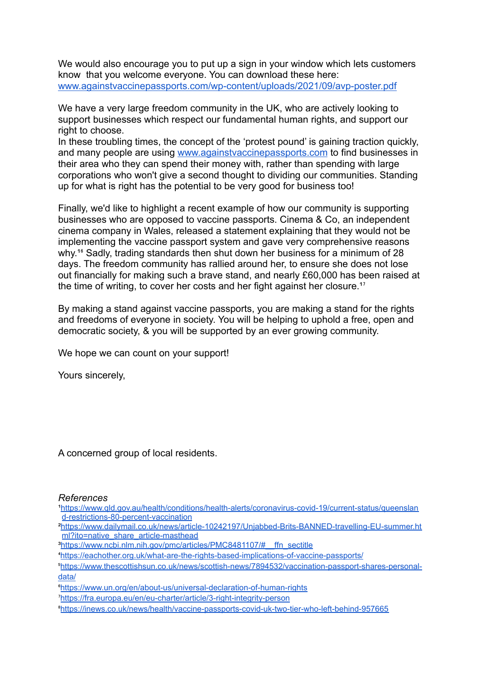We would also encourage you to put up a sign in your window which lets customers know that you welcome everyone. You can download these here: [www.againstvaccinepassports.com/wp-content/uploads/2021/09/avp-poster.pdf](http://www.againstvaccinepassports.com/wp-content/uploads/2021/09/avp-poster.pdf)

We have a very large freedom community in the UK, who are actively looking to support businesses which respect our fundamental human rights, and support our right to choose.

In these troubling times, the concept of the 'protest pound' is gaining traction quickly, and many people are using [www.againstvaccinepassports.com](http://www.againstvaccinepassports.com) to find businesses in their area who they can spend their money with, rather than spending with large corporations who won't give a second thought to dividing our communities. Standing up for what is right has the potential to be very good for business too!

Finally, we'd like to highlight a recent example of how our community is supporting businesses who are opposed to vaccine passports. Cinema & Co, an independent cinema company in Wales, released a statement explaining that they would not be implementing the vaccine passport system and gave very comprehensive reasons why.<sup>16</sup> Sadly, trading standards then shut down her business for a minimum of 28 days. The freedom community has rallied around her, to ensure she does not lose out financially for making such a brave stand, and nearly £60,000 has been raised at the time of writing, to cover her costs and her fight against her closure.<sup>17</sup>

By making a stand against vaccine passports, you are making a stand for the rights and freedoms of everyone in society. You will be helping to uphold a free, open and democratic society, & you will be supported by an ever growing community.

We hope we can count on your support!

Yours sincerely,

A concerned group of local residents.

#### *References*

[¹https://www.qld.gov.au/health/conditions/health-alerts/coronavirus-covid-19/current-status/queenslan](https://www.qld.gov.au/health/conditions/health-alerts/coronavirus-covid-19/current-status/queensland-restrictions-80-percent-vaccination) [d-restrictions-80-percent-vaccination](https://www.qld.gov.au/health/conditions/health-alerts/coronavirus-covid-19/current-status/queensland-restrictions-80-percent-vaccination)

[²https://www.dailymail.co.uk/news/article-10242197/Unjabbed-Brits-BANNED-travelling-EU-summer.ht](https://www.dailymail.co.uk/news/article-10242197/Unjabbed-Brits-BANNED-travelling-EU-summer.html?ito=native_share_article-masthead) [ml?ito=native\\_share\\_article-masthead](https://www.dailymail.co.uk/news/article-10242197/Unjabbed-Brits-BANNED-travelling-EU-summer.html?ito=native_share_article-masthead)

⁴<https://eachother.org.uk/what-are-the-rights-based-implications-of-vaccine-passports/>

⁵[https://www.thescottishsun.co.uk/news/scottish-news/7894532/vaccination-passport-shares-personal](https://www.thescottishsun.co.uk/news/scottish-news/7894532/vaccination-passport-shares-personal-data/)[data/](https://www.thescottishsun.co.uk/news/scottish-news/7894532/vaccination-passport-shares-personal-data/)

⁶<https://www.un.org/en/about-us/universal-declaration-of-human-rights>

⁷<https://fra.europa.eu/en/eu-charter/article/3-right-integrity-person>

<sup>&</sup>lt;sup>3</sup>https://www.ncbi.nlm.nih.gov/pmc/articles/PMC8481107/# ffn\_sectitle

⁸<https://inews.co.uk/news/health/vaccine-passports-covid-uk-two-tier-who-left-behind-957665>